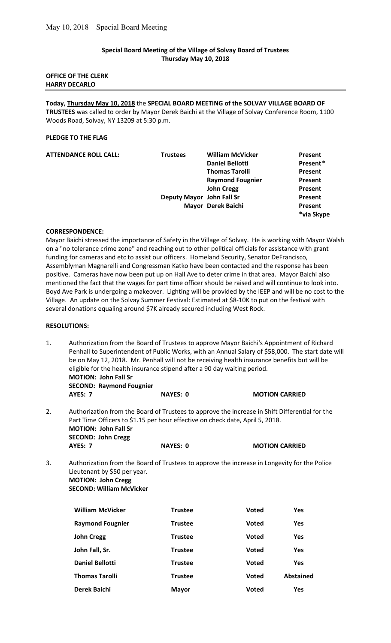## **Special Board Meeting of the Village of Solvay Board of Trustees Thursday May 10, 2018**

#### **OFFICE OF THE CLERK HARRY DECARLO**

**Today, Thursday May 10, 2018** the **SPECIAL BOARD MEETING of the SOLVAY VILLAGE BOARD OF TRUSTEES** was called to order by Mayor Derek Baichi at the Village of Solvay Conference Room, 1100 Woods Road, Solvay, NY 13209 at 5:30 p.m.

### **PLEDGE TO THE FLAG**

| <b>Trustees</b> | <b>William McVicker</b> | Present                                         |
|-----------------|-------------------------|-------------------------------------------------|
|                 | <b>Daniel Bellotti</b>  | Present*                                        |
|                 | <b>Thomas Tarolli</b>   | Present                                         |
|                 | <b>Raymond Fougnier</b> | Present                                         |
|                 | <b>John Cregg</b>       | Present                                         |
|                 |                         | Present                                         |
|                 |                         | Present<br>*via Skype                           |
|                 |                         | Deputy Mayor John Fall Sr<br>Mayor Derek Baichi |

## **CORRESPONDENCE:**

Mayor Baichi stressed the importance of Safety in the Village of Solvay. He is working with Mayor Walsh on a "no tolerance crime zone" and reaching out to other political officials for assistance with grant funding for cameras and etc to assist our officers. Homeland Security, Senator DeFrancisco, Assemblyman Magnarelli and Congressman Katko have been contacted and the response has been positive. Cameras have now been put up on Hall Ave to deter crime in that area. Mayor Baichi also mentioned the fact that the wages for part time officer should be raised and will continue to look into. Boyd Ave Park is undergoing a makeover. Lighting will be provided by the IEEP and will be no cost to the Village. An update on the Solvay Summer Festival: Estimated at \$8-10K to put on the festival with several donations equaling around \$7K already secured including West Rock.

#### **RESOLUTIONS:**

1. Authorization from the Board of Trustees to approve Mayor Baichi's Appointment of Richard Penhall to Superintendent of Public Works, with an Annual Salary of \$58,000. The start date will be on May 12, 2018. Mr. Penhall will not be receiving health insurance benefits but will be eligible for the health insurance stipend after a 90 day waiting period. **MOTION: John Fall Sr** 

|    | <b>SECOND: Raymond Fougnier</b>                                                                                                                                                 |                 |                       |
|----|---------------------------------------------------------------------------------------------------------------------------------------------------------------------------------|-----------------|-----------------------|
|    | <b>AYES: 7</b>                                                                                                                                                                  | <b>NAYES: 0</b> | <b>MOTION CARRIED</b> |
| 2. | Authorization from the Board of Trustees to approve the increase in Shift Differential for the<br>Part Time Officers to \$1.15 per hour effective on check date, April 5, 2018. |                 |                       |
|    | <b>MOTION: John Fall Sr</b>                                                                                                                                                     |                 |                       |

3. Authorization from the Board of Trustees to approve the increase in Longevity for the Police Lieutenant by \$50 per year. **MOTION: John Cregg** 

**AYES: 7** NAYES: 0 MOTION CARRIED

 **SECOND: William McVicker** 

 **SECOND: John Cregg** 

| <b>William McVicker</b> | <b>Trustee</b> | <b>Voted</b> | Yes              |
|-------------------------|----------------|--------------|------------------|
| <b>Raymond Fougnier</b> | <b>Trustee</b> | <b>Voted</b> | Yes              |
| <b>John Cregg</b>       | <b>Trustee</b> | <b>Voted</b> | Yes              |
| John Fall, Sr.          | <b>Trustee</b> | <b>Voted</b> | Yes              |
| <b>Daniel Bellotti</b>  | <b>Trustee</b> | <b>Voted</b> | Yes              |
| <b>Thomas Tarolli</b>   | <b>Trustee</b> | <b>Voted</b> | <b>Abstained</b> |
| Derek Baichi            | <b>Mayor</b>   | <b>Voted</b> | Yes              |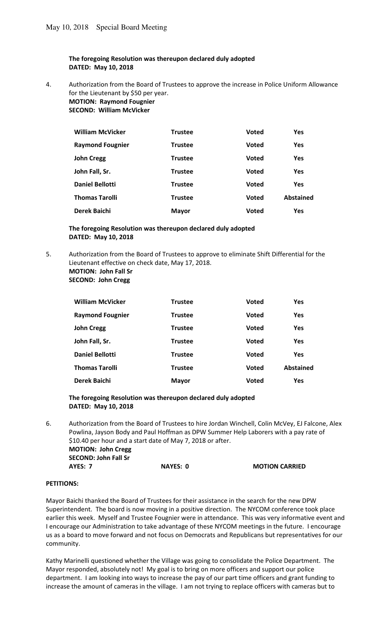## **The foregoing Resolution was thereupon declared duly adopted DATED: May 10, 2018**

4. Authorization from the Board of Trustees to approve the increase in Police Uniform Allowance for the Lieutenant by \$50 per year. **MOTION: Raymond Fougnier** 

 **SECOND: William McVicker** 

| <b>William McVicker</b> | <b>Trustee</b> | <b>Voted</b> | <b>Yes</b> |
|-------------------------|----------------|--------------|------------|
| <b>Raymond Fougnier</b> | <b>Trustee</b> | <b>Voted</b> | <b>Yes</b> |
| <b>John Cregg</b>       | <b>Trustee</b> | <b>Voted</b> | <b>Yes</b> |
| John Fall, Sr.          | <b>Trustee</b> | <b>Voted</b> | <b>Yes</b> |
| <b>Daniel Bellotti</b>  | <b>Trustee</b> | <b>Voted</b> | <b>Yes</b> |
| <b>Thomas Tarolli</b>   | <b>Trustee</b> | <b>Voted</b> | Abstained  |
| Derek Baichi            | <b>Mayor</b>   | <b>Voted</b> | <b>Yes</b> |

#### **The foregoing Resolution was thereupon declared duly adopted DATED: May 10, 2018**

5. Authorization from the Board of Trustees to approve to eliminate Shift Differential for the Lieutenant effective on check date, May 17, 2018. **MOTION: John Fall Sr** 

 **SECOND: John Cregg** 

| <b>William McVicker</b> | <b>Trustee</b> | <b>Voted</b> | <b>Yes</b>       |
|-------------------------|----------------|--------------|------------------|
| <b>Raymond Fougnier</b> | <b>Trustee</b> | <b>Voted</b> | <b>Yes</b>       |
| <b>John Cregg</b>       | <b>Trustee</b> | Voted        | <b>Yes</b>       |
| John Fall, Sr.          | <b>Trustee</b> | <b>Voted</b> | <b>Yes</b>       |
| <b>Daniel Bellotti</b>  | <b>Trustee</b> | <b>Voted</b> | <b>Yes</b>       |
| <b>Thomas Tarolli</b>   | <b>Trustee</b> | <b>Voted</b> | <b>Abstained</b> |
| Derek Baichi            | <b>Mayor</b>   | <b>Voted</b> | Yes              |

## **The foregoing Resolution was thereupon declared duly adopted DATED: May 10, 2018**

6. Authorization from the Board of Trustees to hire Jordan Winchell, Colin McVey, EJ Falcone, Alex Powlina, Jayson Body and Paul Hoffman as DPW Summer Help Laborers with a pay rate of \$10.40 per hour and a start date of May 7, 2018 or after. **MOTION: John Cregg SECOND: John Fall Sr AYES: 7** NAYES: 0 MOTION CARRIED

#### **PETITIONS:**

Mayor Baichi thanked the Board of Trustees for their assistance in the search for the new DPW Superintendent. The board is now moving in a positive direction. The NYCOM conference took place earlier this week. Myself and Trustee Fougnier were in attendance. This was very informative event and I encourage our Administration to take advantage of these NYCOM meetings in the future. I encourage us as a board to move forward and not focus on Democrats and Republicans but representatives for our community.

Kathy Marinelli questioned whether the Village was going to consolidate the Police Department. The Mayor responded, absolutely not! My goal is to bring on more officers and support our police department. I am looking into ways to increase the pay of our part time officers and grant funding to increase the amount of cameras in the village. I am not trying to replace officers with cameras but to